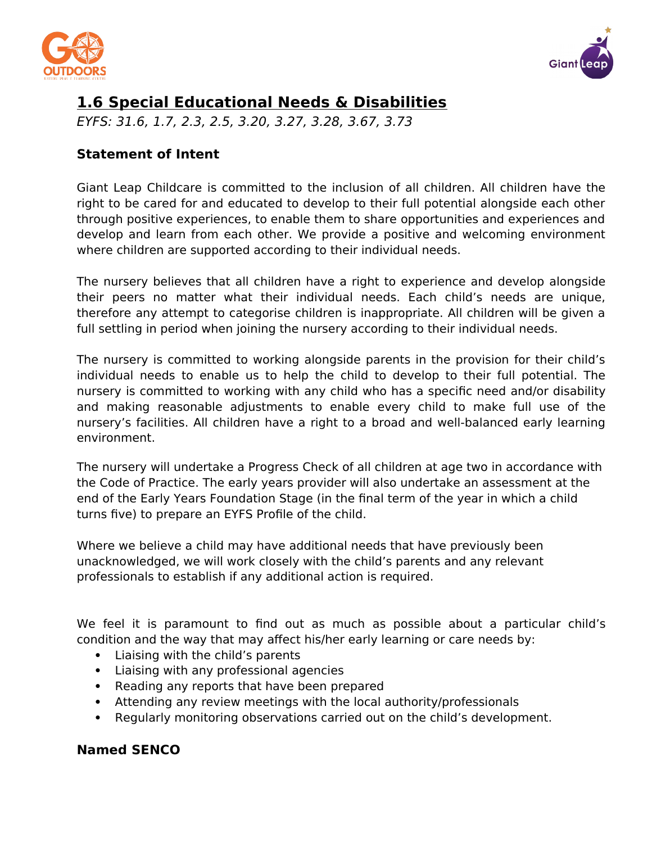



# **1.6 Special Educational Needs & Disabilities**

EYFS: 31.6, 1.7, 2.3, 2.5, 3.20, 3.27, 3.28, 3.67, 3.73

### **Statement of Intent**

Giant Leap Childcare is committed to the inclusion of all children. All children have the right to be cared for and educated to develop to their full potential alongside each other through positive experiences, to enable them to share opportunities and experiences and develop and learn from each other. We provide a positive and welcoming environment where children are supported according to their individual needs.

The nursery believes that all children have a right to experience and develop alongside their peers no matter what their individual needs. Each child's needs are unique, therefore any attempt to categorise children is inappropriate. All children will be given a full settling in period when joining the nursery according to their individual needs.

The nursery is committed to working alongside parents in the provision for their child's individual needs to enable us to help the child to develop to their full potential. The nursery is committed to working with any child who has a specific need and/or disability and making reasonable adjustments to enable every child to make full use of the nursery's facilities. All children have a right to a broad and well-balanced early learning environment.

The nursery will undertake a Progress Check of all children at age two in accordance with the Code of Practice. The early years provider will also undertake an assessment at the end of the Early Years Foundation Stage (in the final term of the year in which a child turns five) to prepare an EYFS Profile of the child.

Where we believe a child may have additional needs that have previously been unacknowledged, we will work closely with the child's parents and any relevant professionals to establish if any additional action is required.

We feel it is paramount to find out as much as possible about a particular child's condition and the way that may affect his/her early learning or care needs by:

- Liaising with the child's parents
- Liaising with any professional agencies
- Reading any reports that have been prepared
- Attending any review meetings with the local authority/professionals
- Regularly monitoring observations carried out on the child's development.

### **Named SENCO**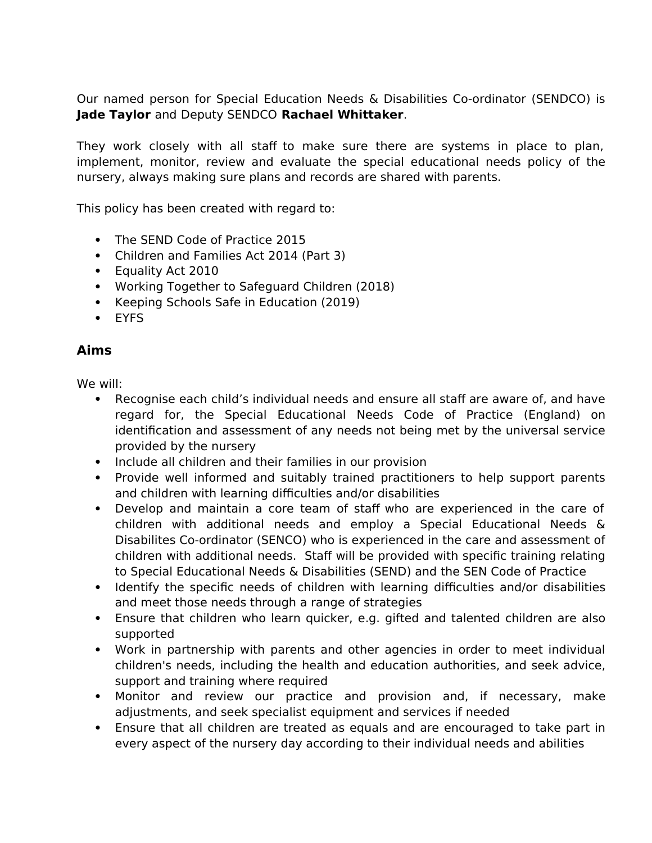Our named person for Special Education Needs & Disabilities Co-ordinator (SENDCO) is **Jade Taylor** and Deputy SENDCO **Rachael Whittaker**.

They work closely with all staff to make sure there are systems in place to plan, implement, monitor, review and evaluate the special educational needs policy of the nursery, always making sure plans and records are shared with parents.

This policy has been created with regard to:

- The SEND Code of Practice 2015
- Children and Families Act 2014 (Part 3)
- Equality Act 2010
- Working Together to Safeguard Children (2018)
- Keeping Schools Safe in Education (2019)
- EYFS

### **Aims**

We will:

- Recognise each child's individual needs and ensure all staff are aware of, and have regard for, the Special Educational Needs Code of Practice (England) on identification and assessment of any needs not being met by the universal service provided by the nursery
- Include all children and their families in our provision
- Provide well informed and suitably trained practitioners to help support parents and children with learning difficulties and/or disabilities
- Develop and maintain a core team of staff who are experienced in the care of children with additional needs and employ a Special Educational Needs & Disabilites Co-ordinator (SENCO) who is experienced in the care and assessment of children with additional needs. Staff will be provided with specific training relating to Special Educational Needs & Disabilities (SEND) and the SEN Code of Practice
- Identify the specific needs of children with learning difficulties and/or disabilities and meet those needs through a range of strategies
- Ensure that children who learn quicker, e.g. gifted and talented children are also supported
- Work in partnership with parents and other agencies in order to meet individual children's needs, including the health and education authorities, and seek advice, support and training where required
- Monitor and review our practice and provision and, if necessary, make adjustments, and seek specialist equipment and services if needed
- Ensure that all children are treated as equals and are encouraged to take part in every aspect of the nursery day according to their individual needs and abilities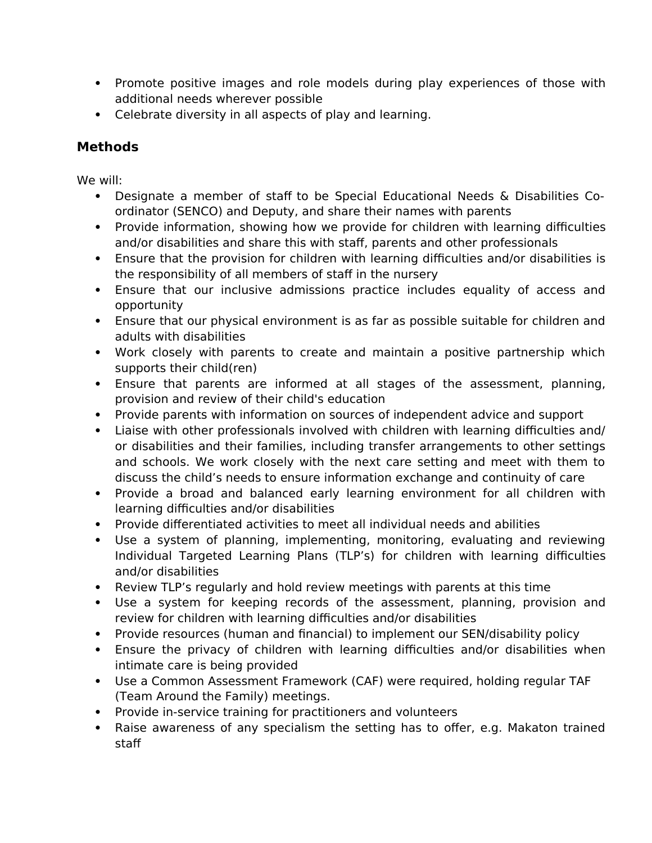- Promote positive images and role models during play experiences of those with additional needs wherever possible
- Celebrate diversity in all aspects of play and learning.

## **Methods**

We will:

- Designate a member of staff to be Special Educational Needs & Disabilities Coordinator (SENCO) and Deputy, and share their names with parents
- Provide information, showing how we provide for children with learning difficulties and/or disabilities and share this with staff, parents and other professionals
- Ensure that the provision for children with learning difficulties and/or disabilities is the responsibility of all members of staff in the nursery
- Ensure that our inclusive admissions practice includes equality of access and opportunity
- Ensure that our physical environment is as far as possible suitable for children and adults with disabilities
- Work closely with parents to create and maintain a positive partnership which supports their child(ren)
- Ensure that parents are informed at all stages of the assessment, planning, provision and review of their child's education
- Provide parents with information on sources of independent advice and support
- Liaise with other professionals involved with children with learning difficulties and/ or disabilities and their families, including transfer arrangements to other settings and schools. We work closely with the next care setting and meet with them to discuss the child's needs to ensure information exchange and continuity of care
- Provide a broad and balanced early learning environment for all children with learning difficulties and/or disabilities
- Provide differentiated activities to meet all individual needs and abilities
- Use a system of planning, implementing, monitoring, evaluating and reviewing Individual Targeted Learning Plans (TLP's) for children with learning difficulties and/or disabilities
- Review TLP's regularly and hold review meetings with parents at this time
- Use a system for keeping records of the assessment, planning, provision and review for children with learning difficulties and/or disabilities
- Provide resources (human and financial) to implement our SEN/disability policy
- Ensure the privacy of children with learning difficulties and/or disabilities when intimate care is being provided
- Use a Common Assessment Framework (CAF) were required, holding regular TAF (Team Around the Family) meetings.
- Provide in-service training for practitioners and volunteers
- Raise awareness of any specialism the setting has to offer, e.g. Makaton trained staff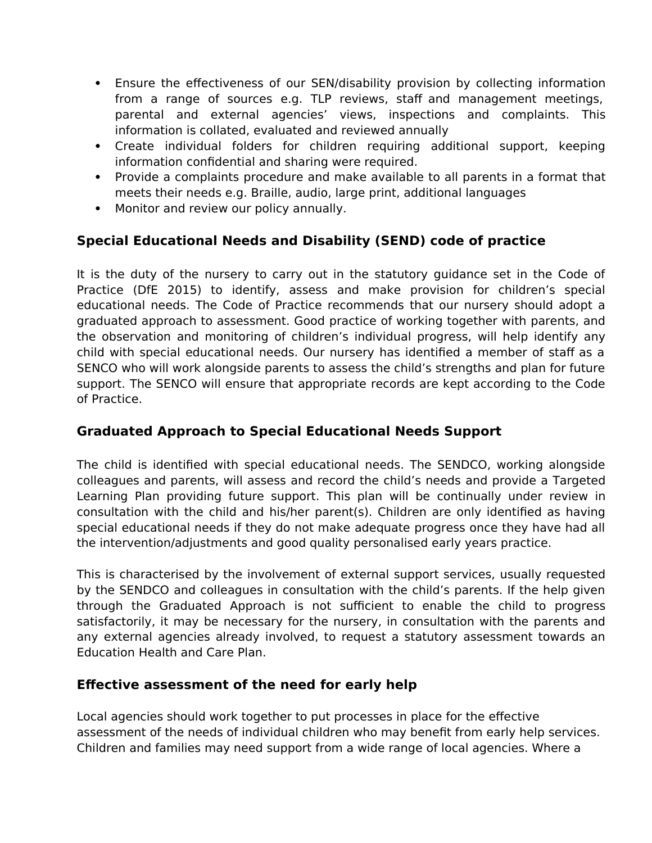- Ensure the effectiveness of our SEN/disability provision by collecting information from a range of sources e.g. TLP reviews, staff and management meetings, parental and external agencies' views, inspections and complaints. This information is collated, evaluated and reviewed annually
- Create individual folders for children requiring additional support, keeping information confidential and sharing were required.
- Provide a complaints procedure and make available to all parents in a format that meets their needs e.g. Braille, audio, large print, additional languages
- Monitor and review our policy annually.

## **Special Educational Needs and Disability (SEND) code of practice**

It is the duty of the nursery to carry out in the statutory guidance set in the Code of Practice (DfE 2015) to identify, assess and make provision for children's special educational needs. The Code of Practice recommends that our nursery should adopt a graduated approach to assessment. Good practice of working together with parents, and the observation and monitoring of children's individual progress, will help identify any child with special educational needs. Our nursery has identified a member of staff as a SENCO who will work alongside parents to assess the child's strengths and plan for future support. The SENCO will ensure that appropriate records are kept according to the Code of Practice.

### **Graduated Approach to Special Educational Needs Support**

The child is identified with special educational needs. The SENDCO, working alongside colleagues and parents, will assess and record the child's needs and provide a Targeted Learning Plan providing future support. This plan will be continually under review in consultation with the child and his/her parent(s). Children are only identified as having special educational needs if they do not make adequate progress once they have had all the intervention/adjustments and good quality personalised early years practice.

This is characterised by the involvement of external support services, usually requested by the SENDCO and colleagues in consultation with the child's parents. If the help given through the Graduated Approach is not sufficient to enable the child to progress satisfactorily, it may be necessary for the nursery, in consultation with the parents and any external agencies already involved, to request a statutory assessment towards an Education Health and Care Plan.

#### **Effective assessment of the need for early help**

Local agencies should work together to put processes in place for the effective assessment of the needs of individual children who may benefit from early help services. Children and families may need support from a wide range of local agencies. Where a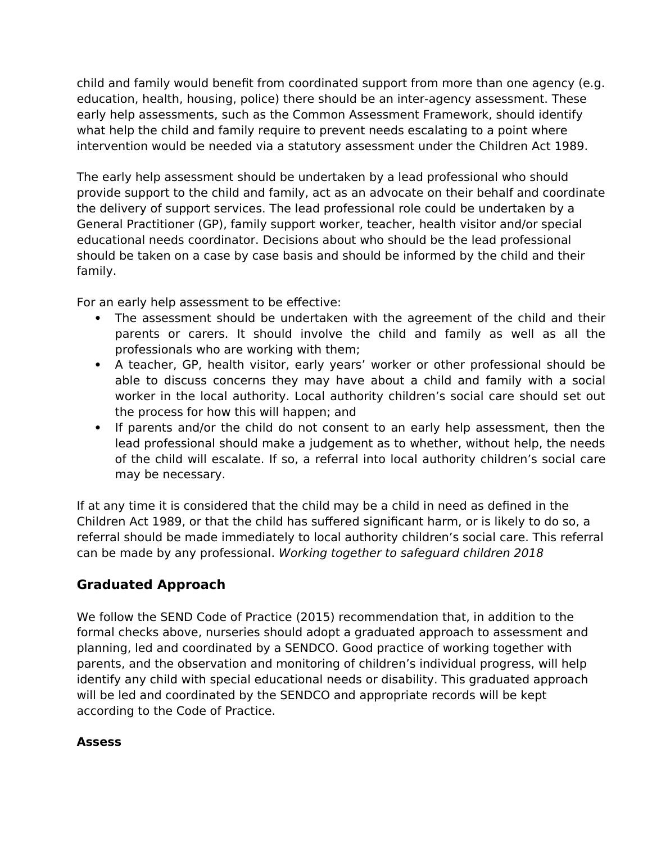child and family would benefit from coordinated support from more than one agency (e.g. education, health, housing, police) there should be an inter-agency assessment. These early help assessments, such as the Common Assessment Framework, should identify what help the child and family require to prevent needs escalating to a point where intervention would be needed via a statutory assessment under the Children Act 1989.

The early help assessment should be undertaken by a lead professional who should provide support to the child and family, act as an advocate on their behalf and coordinate the delivery of support services. The lead professional role could be undertaken by a General Practitioner (GP), family support worker, teacher, health visitor and/or special educational needs coordinator. Decisions about who should be the lead professional should be taken on a case by case basis and should be informed by the child and their family.

For an early help assessment to be effective:

- The assessment should be undertaken with the agreement of the child and their parents or carers. It should involve the child and family as well as all the professionals who are working with them;
- A teacher, GP, health visitor, early years' worker or other professional should be able to discuss concerns they may have about a child and family with a social worker in the local authority. Local authority children's social care should set out the process for how this will happen; and
- If parents and/or the child do not consent to an early help assessment, then the lead professional should make a judgement as to whether, without help, the needs of the child will escalate. If so, a referral into local authority children's social care may be necessary.

If at any time it is considered that the child may be a child in need as defined in the Children Act 1989, or that the child has suffered significant harm, or is likely to do so, a referral should be made immediately to local authority children's social care. This referral can be made by any professional. Working together to safeguard children 2018

## **Graduated Approach**

We follow the SEND Code of Practice (2015) recommendation that, in addition to the formal checks above, nurseries should adopt a graduated approach to assessment and planning, led and coordinated by a SENDCO. Good practice of working together with parents, and the observation and monitoring of children's individual progress, will help identify any child with special educational needs or disability. This graduated approach will be led and coordinated by the SENDCO and appropriate records will be kept according to the Code of Practice.

#### **Assess**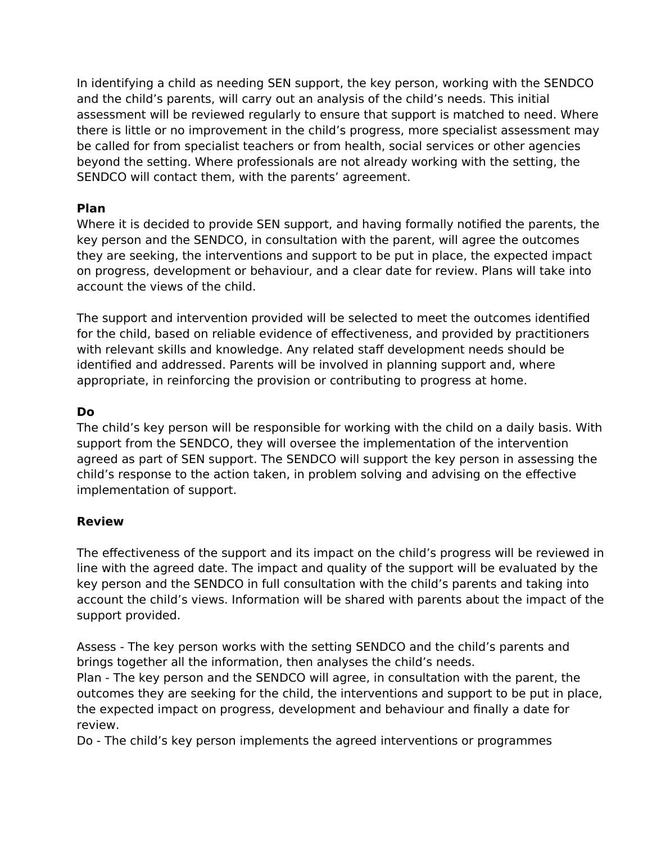In identifying a child as needing SEN support, the key person, working with the SENDCO and the child's parents, will carry out an analysis of the child's needs. This initial assessment will be reviewed regularly to ensure that support is matched to need. Where there is little or no improvement in the child's progress, more specialist assessment may be called for from specialist teachers or from health, social services or other agencies beyond the setting. Where professionals are not already working with the setting, the SENDCO will contact them, with the parents' agreement.

#### **Plan**

Where it is decided to provide SEN support, and having formally notified the parents, the key person and the SENDCO, in consultation with the parent, will agree the outcomes they are seeking, the interventions and support to be put in place, the expected impact on progress, development or behaviour, and a clear date for review. Plans will take into account the views of the child.

The support and intervention provided will be selected to meet the outcomes identified for the child, based on reliable evidence of effectiveness, and provided by practitioners with relevant skills and knowledge. Any related staff development needs should be identified and addressed. Parents will be involved in planning support and, where appropriate, in reinforcing the provision or contributing to progress at home.

#### **Do**

The child's key person will be responsible for working with the child on a daily basis. With support from the SENDCO, they will oversee the implementation of the intervention agreed as part of SEN support. The SENDCO will support the key person in assessing the child's response to the action taken, in problem solving and advising on the effective implementation of support.

#### **Review**

The effectiveness of the support and its impact on the child's progress will be reviewed in line with the agreed date. The impact and quality of the support will be evaluated by the key person and the SENDCO in full consultation with the child's parents and taking into account the child's views. Information will be shared with parents about the impact of the support provided.

Assess - The key person works with the setting SENDCO and the child's parents and brings together all the information, then analyses the child's needs.

Plan - The key person and the SENDCO will agree, in consultation with the parent, the outcomes they are seeking for the child, the interventions and support to be put in place, the expected impact on progress, development and behaviour and finally a date for review.

Do - The child's key person implements the agreed interventions or programmes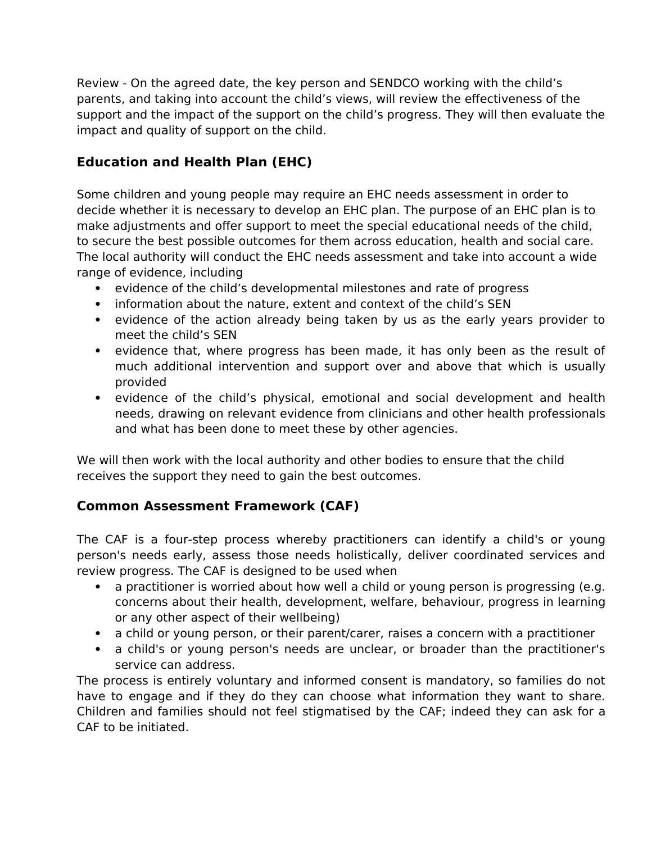Review - On the agreed date, the key person and SENDCO working with the child's parents, and taking into account the child's views, will review the effectiveness of the support and the impact of the support on the child's progress. They will then evaluate the impact and quality of support on the child.

## **Education and Health Plan (EHC)**

Some children and young people may require an EHC needs assessment in order to decide whether it is necessary to develop an EHC plan. The purpose of an EHC plan is to make adjustments and offer support to meet the special educational needs of the child, to secure the best possible outcomes for them across education, health and social care. The local authority will conduct the EHC needs assessment and take into account a wide range of evidence, including

- evidence of the child's developmental milestones and rate of progress
- information about the nature, extent and context of the child's SEN
- evidence of the action already being taken by us as the early years provider to meet the child's SEN
- evidence that, where progress has been made, it has only been as the result of much additional intervention and support over and above that which is usually provided
- evidence of the child's physical, emotional and social development and health needs, drawing on relevant evidence from clinicians and other health professionals and what has been done to meet these by other agencies.

We will then work with the local authority and other bodies to ensure that the child receives the support they need to gain the best outcomes.

## **Common Assessment Framework (CAF)**

The CAF is a four-step process whereby practitioners can identify a child's or young person's needs early, assess those needs holistically, deliver coordinated services and review progress. The CAF is designed to be used when

- a practitioner is worried about how well a child or young person is progressing (e.g. concerns about their health, development, welfare, behaviour, progress in learning or any other aspect of their wellbeing)
- a child or young person, or their parent/carer, raises a concern with a practitioner
- a child's or young person's needs are unclear, or broader than the practitioner's service can address.

The process is entirely voluntary and informed consent is mandatory, so families do not have to engage and if they do they can choose what information they want to share. Children and families should not feel stigmatised by the CAF; indeed they can ask for a CAF to be initiated.